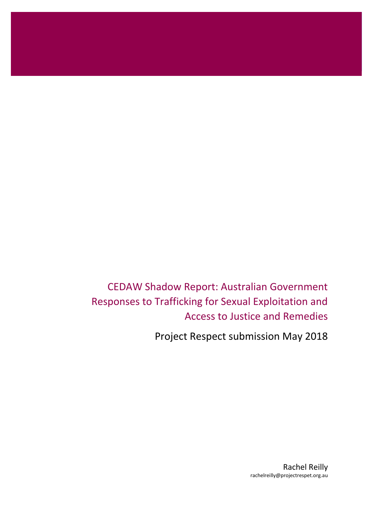CEDAW Shadow Report: Australian Government Responses to Trafficking for Sexual Exploitation and Access to Justice and Remedies

Project Respect submission May 2018

Rachel Reilly rachelreilly@projectrespet.org.au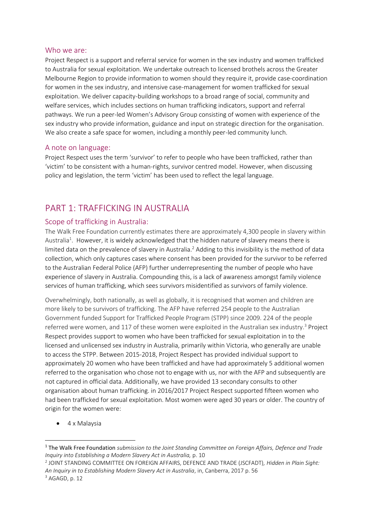#### Who we are:

Project Respect is a support and referral service for women in the sex industry and women trafficked to Australia for sexual exploitation. We undertake outreach to licensed brothels across the Greater Melbourne Region to provide information to women should they require it, provide case-coordination for women in the sex industry, and intensive case-management for women trafficked for sexual exploitation. We deliver capacity-building workshops to a broad range of social, community and welfare services, which includes sections on human trafficking indicators, support and referral pathways. We run a peer-led Women's Advisory Group consisting of women with experience of the sex industry who provide information, guidance and input on strategic direction for the organisation. We also create a safe space for women, including a monthly peer-led community lunch.

#### A note on language:

Project Respect uses the term 'survivor' to refer to people who have been trafficked, rather than 'victim' to be consistent with a human-rights, survivor centred model. However, when discussing policy and legislation, the term 'victim' has been used to reflect the legal language.

# PART 1: TRAFFICKING IN AUSTRALIA

## Scope of trafficking in Australia:

The Walk Free Foundation currently estimates there are approximately 4,300 people in slavery within Australia<sup>1</sup>. However, it is widely acknowledged that the hidden nature of slavery means there is limited data on the prevalence of slavery in Australia.<sup>2</sup> Adding to this invisibility is the method of data collection, which only captures cases where consent has been provided for the survivor to be referred to the Australian Federal Police (AFP) further underrepresenting the number of people who have experience of slavery in Australia. Compounding this, is a lack of awareness amongst family violence services of human trafficking, which sees survivors misidentified as survivors of family violence.

Overwhelmingly, both nationally, as well as globally, it is recognised that women and children are more likely to be survivors of trafficking. The AFP have referred 254 people to the Australian Government funded Support for Trafficked People Program (STPP) since 2009. 224 of the people referred were women, and 117 of these women were exploited in the Australian sex industry.<sup>3</sup> Project Respect provides support to women who have been trafficked for sexual exploitation in to the licensed and unlicensed sex industry in Australia, primarily within Victoria, who generally are unable to access the STPP. Between 2015-2018, Project Respect has provided individual support to approximately 20 women who have been trafficked and have had approximately 5 additional women referred to the organisation who chose not to engage with us, nor with the AFP and subsequently are not captured in official data. Additionally, we have provided 13 secondary consults to other organisation about human trafficking. in 2016/2017 Project Respect supported fifteen women who had been trafficked for sexual exploitation. Most women were aged 30 years or older. The country of origin for the women were:

• 4 x Malaysia

2 JOINT STANDING COMMITTEE ON FOREIGN AFFAIRS, DEFENCE AND TRADE (JSCFADT)*, Hidden in Plain Sight: An Inquiry in to Establishing Modern Slavery Act in Australia*, in, Canberra, 2017 p. 56

<sup>1</sup> The Walk Free Foundation *submission to the Joint Standing Committee on Foreign Affairs, Defence and Trade Inquiry into Establishing a Modern Slavery Act in Australia,* p. 10

<sup>3</sup> AGAGD, p. 12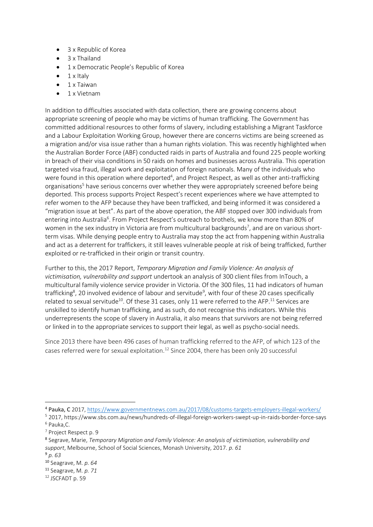- 3 x Republic of Korea
- 3 x Thailand
- 1 x Democratic People's Republic of Korea
- $\bullet$  1 x Italy
- 1 x Taiwan
- 1 x Vietnam

In addition to difficulties associated with data collection, there are growing concerns about appropriate screening of people who may be victims of human trafficking. The Government has committed additional resources to other forms of slavery, including establishing a Migrant Taskforce and a Labour Exploitation Working Group, however there are concerns victims are being screened as a migration and/or visa issue rather than a human rights violation. This was recently highlighted when the Australian Border Force (ABF) conducted raids in parts of Australia and found 225 people working in breach of their visa conditions in 50 raids on homes and businesses across Australia. This operation targeted visa fraud, illegal work and exploitation of foreign nationals. Many of the individuals who were found in this operation where deported<sup>4</sup>, and Project Respect, as well as other anti-trafficking organisations<sup>5</sup> have serious concerns over whether they were appropriately screened before being deported. This process supports Project Respect's recent experiences where we have attempted to refer women to the AFP because they have been trafficked, and being informed it was considered a "migration issue at best". As part of the above operation, the ABF stopped over 300 individuals from entering into Australia<sup>6</sup>. From Project Respect's outreach to brothels, we know more than 80% of women in the sex industry in Victoria are from multicultural backgrounds<sup>7</sup>, and are on various shortterm visas. While denying people entry to Australia may stop the act from happening within Australia and act as a deterrent for traffickers, it still leaves vulnerable people at risk of being trafficked, further exploited or re-trafficked in their origin or transit country.

Further to this, the 2017 Report, *Temporary Migration and Family Violence: An analysis of victimisation, vulnerability and support* undertook an analysis of 300 client files from InTouch, a multicultural family violence service provider in Victoria. Of the 300 files, 11 had indicators of human trafficking<sup>8</sup>, 20 involved evidence of labour and servitude<sup>9</sup>, with four of these 20 cases specifically related to sexual servitude<sup>10</sup>. Of these 31 cases, only 11 were referred to the AFP.<sup>11</sup> Services are unskilled to identify human trafficking, and as such, do not recognise this indicators. While this underrepresents the scope of slavery in Australia, it also means that survivors are not being referred or linked in to the appropriate services to support their legal, as well as psycho-social needs.

Since 2013 there have been 496 cases of human trafficking referred to the AFP, of which 123 of the cases referred were for sexual exploitation.<sup>12</sup> Since 2004, there has been only 20 successful

<sup>9</sup> *p. 63*

<sup>4</sup> Pauka, C 2017[, https://www.governmentnews.com.au/2017/08/customs-targets-employers-illegal-workers/](https://www.governmentnews.com.au/2017/08/customs-targets-employers-illegal-workers/)

<sup>5</sup> 2017, https://www.sbs.com.au/news/hundreds-of-illegal-foreign-workers-swept-up-in-raids-border-force-says <sup>6</sup> Pauka,C.

<sup>7</sup> Project Respect p. 9

<sup>8</sup> Segrave, Marie, *Temporary Migration and Family Violence: An analysis of victimisation, vulnerability and support*, Melbourne, School of Social Sciences, Monash University, 2017. *p. 61*

<sup>10</sup> Seagrave, M*. p. 64*

<sup>11</sup> Seagrave, M*. p. 71* 

<sup>12</sup> JSCFADT p. 59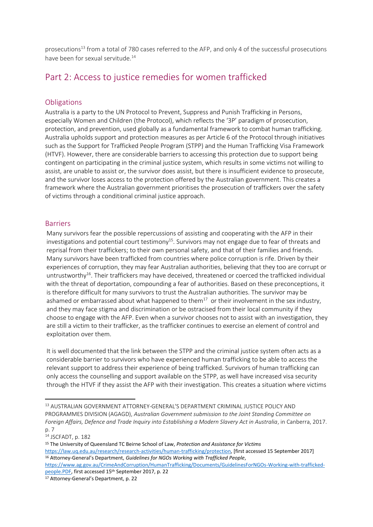prosecutions<sup>13</sup> from a total of 780 cases referred to the AFP, and only 4 of the successful prosecutions have been for sexual servitude.<sup>14</sup>

# Part 2: Access to justice remedies for women trafficked

#### **Obligations**

Australia is a party to the UN Protocol to Prevent, Suppress and Punish Trafficking in Persons, especially Women and Children (the Protocol), which reflects the '3P' paradigm of prosecution, protection, and prevention, used globally as a fundamental framework to combat human trafficking. Australia upholds support and protection measures as per Article 6 of the Protocol through initiatives such as the Support for Trafficked People Program (STPP) and the Human Trafficking Visa Framework (HTVF). However, there are considerable barriers to accessing this protection due to support being contingent on participating in the criminal justice system, which results in some victims not willing to assist, are unable to assist or, the survivor does assist, but there is insufficient evidence to prosecute, and the survivor loses access to the protection offered by the Australian government. This creates a framework where the Australian government prioritises the prosecution of traffickers over the safety of victims through a conditional criminal justice approach.

## Barriers

Many survivors fear the possible repercussions of assisting and cooperating with the AFP in their investigations and potential court testimony<sup>15</sup>. Survivors may not engage due to fear of threats and reprisal from their traffickers; to their own personal safety, and that of their families and friends. Many survivors have been trafficked from countries where police corruption is rife. Driven by their experiences of corruption, they may fear Australian authorities, believing that they too are corrupt or untrustworthy<sup>16</sup>. Their traffickers may have deceived, threatened or coerced the trafficked individual with the threat of deportation, compounding a fear of authorities. Based on these preconceptions, it is therefore difficult for many survivors to trust the Australian authorities. The survivor may be ashamed or embarrassed about what happened to them $^{17}$  or their involvement in the sex industry, and they may face stigma and discrimination or be ostracised from their local community if they choose to engage with the AFP. Even when a survivor chooses not to assist with an investigation, they are still a victim to their trafficker, as the trafficker continues to exercise an element of control and exploitation over them.

It is well documented that the link between the STPP and the criminal justice system often acts as a considerable barrier to survivors who have experienced human trafficking to be able to access the relevant support to address their experience of being trafficked. Survivors of human trafficking can only access the counselling and support available on the STPP, as well have increased visa security through the HTVF if they assist the AFP with their investigation. This creates a situation where victims

<sup>13</sup> AUSTRALIAN GOVERNMENT ATTORNEY-GENERAL'S DEPARTMENT CRIMINAL JUSTICE POLICY AND PROGRAMMES DIVISION (AGAGD), *Australian Government submission to the Joint Standing Committee on Foreign Affairs, Defence and Trade Inquiry into Establishing a Modern Slavery Act in Australia*, in Canberra, 2017. p. 7

<sup>14</sup> JSCFADT, p. 182

<sup>15</sup> The University of Queensland TC Beirne School of Law, *Protection and Assistance for Victims* [https://law.uq.edu.au/research/research-activities/human-trafficking/protection,](https://law.uq.edu.au/research/research-activities/human-trafficking/protection) [first accessed 15 September 2017] <sup>16</sup> Attorney-General's Department, *Guidelines for NGOs Working with Trafficked People*,

[https://www.ag.gov.au/CrimeAndCorruption/HumanTrafficking/Documents/GuidelinesForNGOs-Working-with-trafficked](https://www.ag.gov.au/CrimeAndCorruption/HumanTrafficking/Documents/GuidelinesForNGOs-Working-with-trafficked-people.PDF)[people.PDF,](https://www.ag.gov.au/CrimeAndCorruption/HumanTrafficking/Documents/GuidelinesForNGOs-Working-with-trafficked-people.PDF) first accessed 15th September 2017, p. 22

<sup>17</sup> Attorney-General's Department, p. 22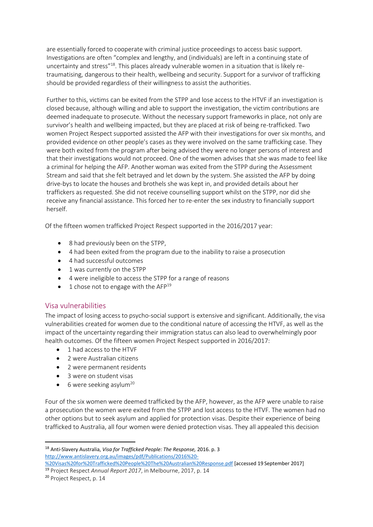are essentially forced to cooperate with criminal justice proceedings to access basic support. Investigations are often "complex and lengthy, and (individuals) are left in a continuing state of uncertainty and stress"<sup>18</sup>. This places already vulnerable women in a situation that is likely retraumatising, dangerous to their health, wellbeing and security. Support for a survivor of trafficking should be provided regardless of their willingness to assist the authorities.

Further to this, victims can be exited from the STPP and lose access to the HTVF if an investigation is closed because, although willing and able to support the investigation, the victim contributions are deemed inadequate to prosecute. Without the necessary support frameworks in place, not only are survivor's health and wellbeing impacted, but they are placed at risk of being re-trafficked. Two women Project Respect supported assisted the AFP with their investigations for over six months, and provided evidence on other people's cases as they were involved on the same trafficking case. They were both exited from the program after being advised they were no longer persons of interest and that their investigations would not proceed. One of the women advises that she was made to feel like a criminal for helping the AFP. Another woman was exited from the STPP during the Assessment Stream and said that she felt betrayed and let down by the system. She assisted the AFP by doing drive-bys to locate the houses and brothels she was kept in, and provided details about her traffickers as requested. She did not receive counselling support whilst on the STPP, nor did she receive any financial assistance. This forced her to re-enter the sex industry to financially support herself.

Of the fifteen women trafficked Project Respect supported in the 2016/2017 year:

- 8 had previously been on the STPP,
- 4 had been exited from the program due to the inability to raise a prosecution
- 4 had successful outcomes
- 1 was currently on the STPP
- 4 were ineligible to access the STPP for a range of reasons
- 1 chose not to engage with the AFP<sup>19</sup>

#### Visa vulnerabilities

The impact of losing access to psycho-social support is extensive and significant. Additionally, the visa vulnerabilities created for women due to the conditional nature of accessing the HTVF, as well as the impact of the uncertainty regarding their immigration status can also lead to overwhelmingly poor health outcomes. Of the fifteen women Project Respect supported in 2016/2017:

- 1 had access to the HTVF
- 2 were Australian citizens
- 2 were permanent residents
- 3 were on student visas
- $\bullet$  6 were seeking asylum<sup>20</sup>

Four of the six women were deemed trafficked by the AFP, however, as the AFP were unable to raise a prosecution the women were exited from the STPP and lost access to the HTVF. The women had no other options but to seek asylum and applied for protection visas. Despite their experience of being trafficked to Australia, all four women were denied protection visas. They all appealed this decision

 $\overline{a}$ 

<sup>18</sup> Anti-Slavery Australia, *Visa for Trafficked People: The Response,* 2016. p. 3 [http://www.antislavery.org.au/images/pdf/Publications/2016%20-](http://www.antislavery.org.au/images/pdf/Publications/2016%20-%20Visas%20for%20Trafficked%20People%20The%20Australian%20Response.pdf)

[<sup>%20</sup>Visas%20for%20Trafficked%20People%20The%20Australian%20Response.pdf](http://www.antislavery.org.au/images/pdf/Publications/2016%20-%20Visas%20for%20Trafficked%20People%20The%20Australian%20Response.pdf) [accessed 19 September 2017] <sup>19</sup> Project Respect *Annual Report 2017*, in Melbourne, 2017, p. 14

<sup>20</sup> Project Respect, p. 14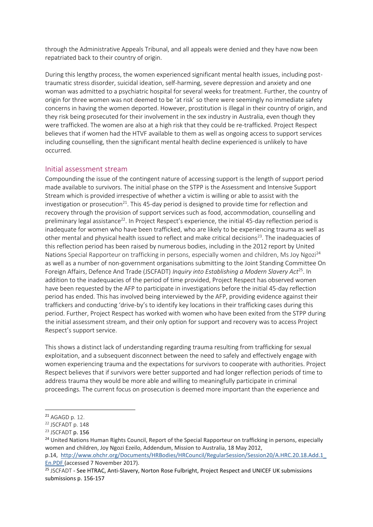through the Administrative Appeals Tribunal, and all appeals were denied and they have now been repatriated back to their country of origin.

During this lengthy process, the women experienced significant mental health issues, including posttraumatic stress disorder, suicidal ideation, self-harming, severe depression and anxiety and one woman was admitted to a psychiatric hospital for several weeks for treatment. Further, the country of origin for three women was not deemed to be 'at risk' so there were seemingly no immediate safety concerns in having the women deported. However, prostitution is illegal in their country of origin, and they risk being prosecuted for their involvement in the sex industry in Australia, even though they were trafficked. The women are also at a high risk that they could be re-trafficked. Project Respect believes that if women had the HTVF available to them as well as ongoing access to support services including counselling, then the significant mental health decline experienced is unlikely to have occurred.

#### Initial assessment stream

Compounding the issue of the contingent nature of accessing support is the length of support period made available to survivors. The initial phase on the STPP is the Assessment and Intensive Support Stream which is provided irrespective of whether a victim is willing or able to assist with the investigation or prosecution<sup>21</sup>. This 45-day period is designed to provide time for reflection and recovery through the provision of support services such as food, accommodation, counselling and preliminary legal assistance<sup>22</sup>. In Project Respect's experience, the initial 45-day reflection period is inadequate for women who have been trafficked, who are likely to be experiencing trauma as well as other mental and physical health issued to reflect and make critical decisions<sup>23</sup>. The inadequacies of this reflection period has been raised by numerous bodies, including in the 2012 report by United Nations Special Rapporteur on trafficking in persons, especially women and children, Ms Joy Ngozi<sup>24</sup> as well as a number of non-government organisations submitting to the Joint Standing Committee On Foreign Affairs, Defence And Trade (JSCFADT) *Inquiry into Establishing a Modern Slavery Act*<sup>25</sup>. In addition to the inadequacies of the period of time provided, Project Respect has observed women have been requested by the AFP to participate in investigations before the initial 45-day reflection period has ended. This has involved being interviewed by the AFP, providing evidence against their traffickers and conducting 'drive-by's to identify key locations in their trafficking cases during this period. Further, Project Respect has worked with women who have been exited from the STPP during the initial assessment stream, and their only option for support and recovery was to access Project Respect's support service.

This shows a distinct lack of understanding regarding trauma resulting from trafficking for sexual exploitation, and a subsequent disconnect between the need to safely and effectively engage with women experiencing trauma and the expectations for survivors to cooperate with authorities. Project Respect believes that if survivors were better supported and had longer reflection periods of time to address trauma they would be more able and willing to meaningfully participate in criminal proceedings. The current focus on prosecution is deemed more important than the experience and

1

<sup>21</sup> AGAGD p. 12.

<sup>22</sup> JSCFADT p. 148

<sup>&</sup>lt;sup>23</sup> JSCFADT p. 156

<sup>&</sup>lt;sup>24</sup> United Nations Human Rights Council, Report of the Special Rapporteur on trafficking in persons, especially women and children, Joy Ngozi Ezeilo, Addendum, Mission to Australia, 18 May 2012,

p.14, [http://www.ohchr.org/Documents/HRBodies/HRCouncil/RegularSession/Session20/A.HRC.20.18.Add.1\\_](http://www.ohchr.org/Documents/HRBodies/HRCouncil/RegularSession/Session20/A.HRC.20.18.Add.1_En.PDF) [En.PDF](http://www.ohchr.org/Documents/HRBodies/HRCouncil/RegularSession/Session20/A.HRC.20.18.Add.1_En.PDF) (accessed 7 November 2017).

<sup>25</sup> JSCFADT - See HTRAC, Anti-Slavery, Norton Rose Fulbright, Project Respect and UNICEF UK submissions submissions p. 156-157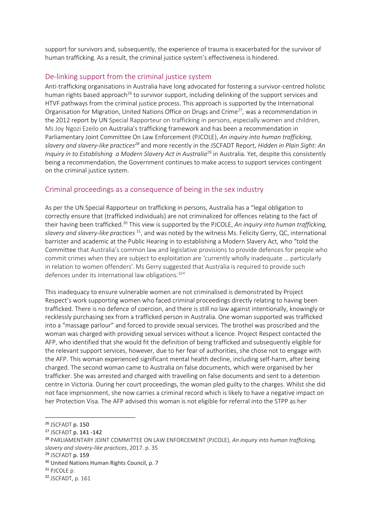support for survivors and, subsequently, the experience of trauma is exacerbated for the survivor of human trafficking. As a result, the criminal justice system's effectiveness is hindered.

#### De-linking support from the criminal justice system

Anti-trafficking organisations in Australia have long advocated for fostering a survivor-centred holistic human rights based approach<sup>26</sup> to survivor support, including delinking of the support services and HTVF pathways from the criminal justice process. This approach is supported by the International Organisation for Migration, United Nations Office on Drugs and Crime<sup>27</sup>, was a recommendation in the 2012 report by UN Special Rapporteur on trafficking in persons, especially women and children, Ms Joy Ngozi Ezeilo on Australia's trafficking framework and has been a recommendation in Parliamentary Joint Committee On Law Enforcement (PJCOLE), *An inquiry into human trafficking, slavery and slavery-like practices<sup>28</sup>* and more recently in the JSCFADT Report, *Hidden in Plain Sight: An Inquiry in to Establishing a Modern Slavery Act in Australia<sup>29</sup> in Australia. Yet, despite this consistently* being a recommendation, the Government continues to make access to support services contingent on the criminal justice system.

## Criminal proceedings as a consequence of being in the sex industry

As per the UN Special Rapporteur on trafficking in persons, Australia has a "legal obligation to correctly ensure that (trafficked individuals) are not criminalized for offences relating to the fact of their having been trafficked.<sup>30</sup> This view is supported by the PJCOLE, *An inquiry into human trafficking, slavery and slavery-like practices* <sup>31</sup>, and was noted by the witness Ms. Felicity Gerry, QC, international barrister and academic at the Public Hearing in to establishing a Modern Slavery Act, who "told the Committee that Australia's common law and legislative provisions to provide defences for people who commit crimes when they are subject to exploitation are 'currently wholly inadequate … particularly in relation to women offenders'. Ms Gerry suggested that Australia is required to provide such defences under its international law obligations.<sup>32"</sup>

This inadequacy to ensure vulnerable women are not criminalised is demonstrated by Project Respect's work supporting women who faced criminal proceedings directly relating to having been trafficked. There is no defence of coercion, and there is still no law against intentionally, knowingly or recklessly purchasing sex from a trafficked person in Australia. One woman supported was trafficked into a "massage parlour" and forced to provide sexual services. The brothel was proscribed and the woman was charged with providing sexual services without a licence. Project Respect contacted the AFP, who identified that she would fit the definition of being trafficked and subsequently eligible for the relevant support services, however, due to her fear of authorities, she chose not to engage with the AFP. This woman experienced significant mental health decline, including self-harm, after being charged. The second woman came to Australia on false documents, which were organised by her trafficker. She was arrested and charged with travelling on false documents and sent to a detention centre in Victoria. During her court proceedings, the woman pled guilty to the charges. Whilst she did not face imprisonment, she now carries a criminal record which is likely to have a negative impact on her Protection Visa. The AFP advised this woman is not eligible for referral into the STPP as her

1

<sup>26</sup> JSCFADT p. 150

<sup>27</sup> JSCFADT p. 141 -142

<sup>28</sup> PARLIAMENTARY JOINT COMMITTEE ON LAW ENFORCEMENT (PJCOLE), *An inquiry into human trafficking, slavery and slavery-like practices*, 2017. p. 35

<sup>&</sup>lt;sup>29</sup> JSCFADT p. 159

<sup>30</sup> United Nations Human Rights Council, p. 7

<sup>31</sup> PJCOLE p.

<sup>32</sup> JSCFADT, p. 161